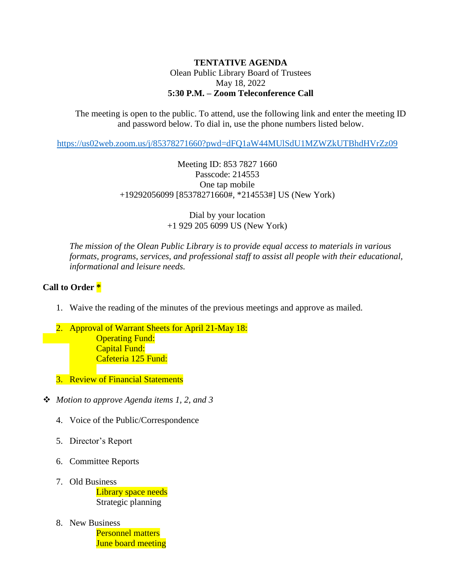## **TENTATIVE AGENDA** Olean Public Library Board of Trustees May 18, 2022 **5:30 P.M. – Zoom Teleconference Call**

The meeting is open to the public. To attend, use the following link and enter the meeting ID and password below. To dial in, use the phone numbers listed below.

<https://us02web.zoom.us/j/85378271660?pwd=dFQ1aW44MUlSdU1MZWZkUTBhdHVrZz09>

Meeting ID: 853 7827 1660 Passcode: 214553 One tap mobile +19292056099 [85378271660#, \*214553#] US (New York)

> Dial by your location +1 929 205 6099 US (New York)

*The mission of the Olean Public Library is to provide equal access to materials in various formats, programs, services, and professional staff to assist all people with their educational, informational and leisure needs.*

## **Call to Order \***

- 1. Waive the reading of the minutes of the previous meetings and approve as mailed.
- 2. Approval of Warrant Sheets for April 21-May 18: **Operating Fund:** Capital Fund: Cafeteria 125 Fund:
- 3. Review of Financial Statements
- *Motion to approve Agenda items 1, 2, and 3*
	- 4. Voice of the Public/Correspondence
	- 5. Director's Report
	- 6. Committee Reports
	- 7. Old Business Library space needs Strategic planning
	- 8. New Business Personnel matters June board meeting